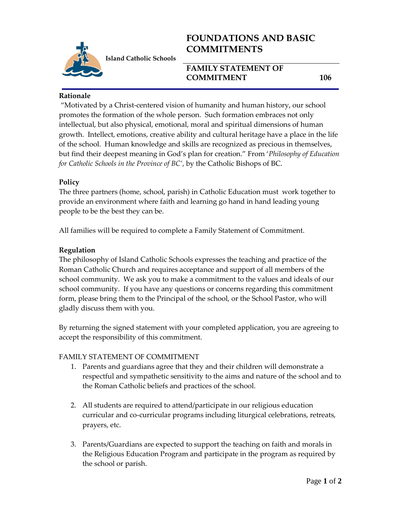

**Island Catholic Schools** 

# **FOUNDATIONS AND BASIC COMMITMENTS**

## **FAMILY STATEMENT OF COMMITMENT 106**

#### **Rationale**

"Motivated by a Christ-centered vision of humanity and human history, our school promotes the formation of the whole person. Such formation embraces not only intellectual, but also physical, emotional, moral and spiritual dimensions of human growth. Intellect, emotions, creative ability and cultural heritage have a place in the life of the school. Human knowledge and skills are recognized as precious in themselves, but find their deepest meaning in God's plan for creation." From '*Philosophy of Education for Catholic Schools in the Province of BC'*, by the Catholic Bishops of BC.

#### **Policy**

The three partners (home, school, parish) in Catholic Education must work together to provide an environment where faith and learning go hand in hand leading young people to be the best they can be.

All families will be required to complete a Family Statement of Commitment.

#### **Regulation**

The philosophy of Island Catholic Schools expresses the teaching and practice of the Roman Catholic Church and requires acceptance and support of all members of the school community. We ask you to make a commitment to the values and ideals of our school community. If you have any questions or concerns regarding this commitment form, please bring them to the Principal of the school, or the School Pastor, who will gladly discuss them with you.

By returning the signed statement with your completed application, you are agreeing to accept the responsibility of this commitment.

## FAMILY STATEMENT OF COMMITMENT

- 1. Parents and guardians agree that they and their children will demonstrate a respectful and sympathetic sensitivity to the aims and nature of the school and to the Roman Catholic beliefs and practices of the school.
- 2. All students are required to attend/participate in our religious education curricular and co-curricular programs including liturgical celebrations, retreats, prayers, etc.
- 3. Parents/Guardians are expected to support the teaching on faith and morals in the Religious Education Program and participate in the program as required by the school or parish.